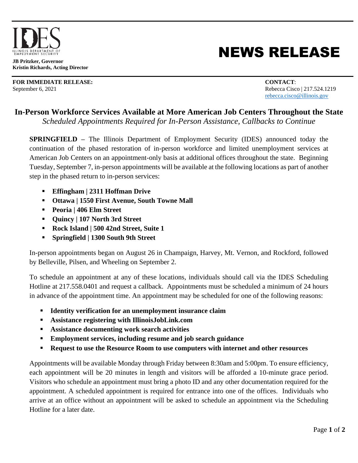

**JB Pritzker, Governor Kristin Richards, Acting Director**

**FOR IMMEDIATE RELEASE: CONTACT**: September 6, 2021 Rebecca Cisco | 217.524.1219

## NEWS RELEASE

[rebecca.cisco@illinois.gov](mailto:rebecca.cisco@illinois.gov)

## **In-Person Workforce Services Available at More American Job Centers Throughout the State**

*Scheduled Appointments Required for In-Person Assistance, Callbacks to Continue* 

**SPRINGFIELD –** The Illinois Department of Employment Security (IDES) announced today the continuation of the phased restoration of in-person workforce and limited unemployment services at American Job Centers on an appointment-only basis at additional offices throughout the state. Beginning Tuesday, September 7, in-person appointments will be available at the following locations as part of another step in the phased return to in-person services:

- **Effingham | 2311 Hoffman Drive**
- **Ottawa | 1550 First Avenue, South Towne Mall**
- **Peoria | 406 Elm Street**
- **Quincy | 107 North 3rd Street**
- **Rock Island | 500 42nd Street, Suite 1**
- **Springfield | 1300 South 9th Street**

In-person appointments began on August 26 in Champaign, Harvey, Mt. Vernon, and Rockford, followed by Belleville, Pilsen, and Wheeling on September 2.

To schedule an appointment at any of these locations, individuals should call via the IDES Scheduling Hotline at 217.558.0401 and request a callback. Appointments must be scheduled a minimum of 24 hours in advance of the appointment time. An appointment may be scheduled for one of the following reasons:

- **Identity verification for an unemployment insurance claim**
- **Assistance registering with IllinoisJobLink.com**
- **Assistance documenting work search activities**
- **Employment services, including resume and job search guidance**
- **Request to use the Resource Room to use computers with internet and other resources**

Appointments will be available Monday through Friday between 8:30am and 5:00pm. To ensure efficiency, each appointment will be 20 minutes in length and visitors will be afforded a 10-minute grace period. Visitors who schedule an appointment must bring a photo ID and any other documentation required for the appointment. A scheduled appointment is required for entrance into one of the offices. Individuals who arrive at an office without an appointment will be asked to schedule an appointment via the Scheduling Hotline for a later date.